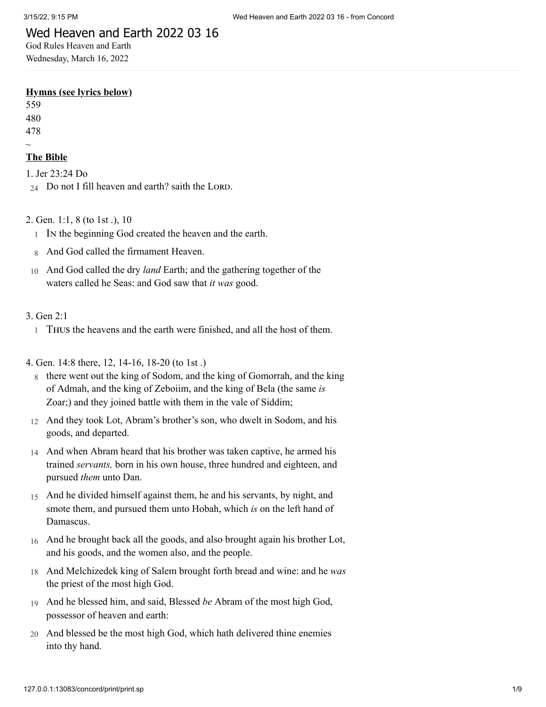# Wed Heaven and Earth 2022 03 16

God Rules Heaven and Earth Wednesday, March 16, 2022

#### **Hymns (see lyrics below)**

559 480 478

 $\sim$ 

# **The Bible**

1. [Jer 23:24 Do](http://www.concordworks.com/citation/Jer%2023:24%20Do)  $24$  Do not I fill heaven and earth? saith the LORD.

- 2. [Gen. 1:1, 8 \(to 1st .\), 10](http://www.concordworks.com/citation/Gen.%201:1,%208%20(to%201st%20.),%2010)
	- 1 In the beginning God created the heaven and the earth.
	- 8 And God called the firmament Heaven.
- 10 And God called the dry *land* Earth; and the gathering together of the waters called he Seas: and God saw that *it was* good.

#### 3. [Gen 2:1](http://www.concordworks.com/citation/Gen%202:1)

1 Thus the heavens and the earth were finished, and all the host of them.

4. [Gen. 14:8 there, 12, 14-16, 18-20 \(to 1st .\)](http://www.concordworks.com/citation/Gen.%2014:8%20there,%2012,%2014-16,%2018-20%20(to%201st%20.))

- 8 there went out the king of Sodom, and the king of Gomorrah, and the king of Admah, and the king of Zeboiim, and the king of Bela (the same *is* Zoar;) and they joined battle with them in the vale of Siddim;
- 12 And they took Lot, Abram's brother's son, who dwelt in Sodom, and his goods, and departed.
- 14 And when Abram heard that his brother was taken captive, he armed his trained *servants,* born in his own house, three hundred and eighteen, and pursued *them* unto Dan.
- 15 And he divided himself against them, he and his servants, by night, and smote them, and pursued them unto Hobah, which *is* on the left hand of Damascus.
- 16 And he brought back all the goods, and also brought again his brother Lot, and his goods, and the women also, and the people.
- 18 And Melchizedek king of Salem brought forth bread and wine: and he *was* the priest of the most high God.
- 19 And he blessed him, and said, Blessed *be* Abram of the most high God, possessor of heaven and earth:
- 20 And blessed be the most high God, which hath delivered thine enemies into thy hand.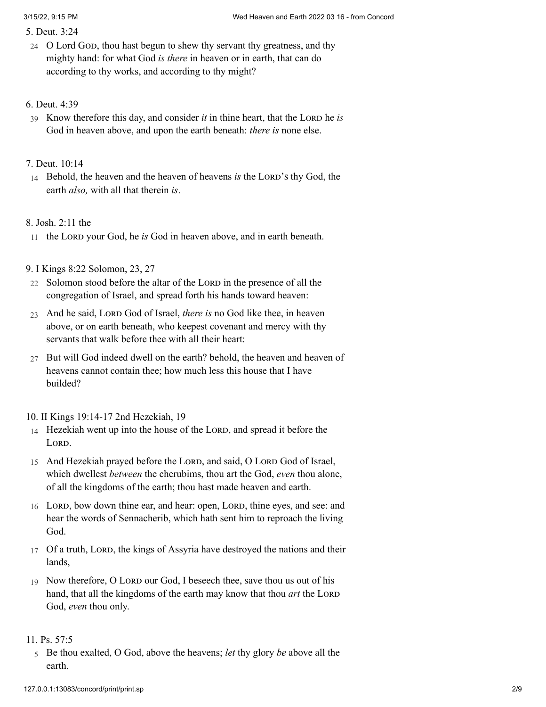5. [Deut. 3:24](http://www.concordworks.com/citation/Deut.%203:24)

24 O Lord God, thou hast begun to shew thy servant thy greatness, and thy mighty hand: for what God *is there* in heaven or in earth, that can do according to thy works, and according to thy might?

### 6. [Deut. 4:39](http://www.concordworks.com/citation/Deut.%204:39)

39 Know therefore this day, and consider *it* in thine heart, that the LORD he *is* God in heaven above, and upon the earth beneath: *there is* none else.

# 7. [Deut. 10:14](http://www.concordworks.com/citation/Deut.%2010:14)

14 Behold, the heaven and the heaven of heavens *is* the LORD's thy God, the earth *also,* with all that therein *is*.

# 8. [Josh. 2:11 the](http://www.concordworks.com/citation/Josh.%202:11%20the)

11 the Lord your God, he *is* God in heaven above, and in earth beneath.

# 9. [I Kings 8:22 Solomon, 23, 27](http://www.concordworks.com/citation/I%20Kings%208:22%20Solomon,%2023,%2027)

- 22 Solomon stood before the altar of the LORD in the presence of all the congregation of Israel, and spread forth his hands toward heaven:
- 23 And he said, LORD God of Israel, *there is* no God like thee, in heaven above, or on earth beneath, who keepest covenant and mercy with thy servants that walk before thee with all their heart:
- 27 But will God indeed dwell on the earth? behold, the heaven and heaven of heavens cannot contain thee; how much less this house that I have builded?

# 10. [II Kings 19:14-17 2nd Hezekiah, 19](http://www.concordworks.com/citation/II%20Kings%2019:14-17%202nd%20Hezekiah,%2019)

- 14 Hezekiah went up into the house of the LORD, and spread it before the LORD.
- 15 And Hezekiah prayed before the LORD, and said, O LORD God of Israel, which dwellest *between* the cherubims, thou art the God, *even* thou alone, of all the kingdoms of the earth; thou hast made heaven and earth.
- 16 LORD, bow down thine ear, and hear: open, LORD, thine eyes, and see: and hear the words of Sennacherib, which hath sent him to reproach the living God.
- 17 Of a truth, LORD, the kings of Assyria have destroyed the nations and their lands,
- 19 Now therefore, O Lord our God, I beseech thee, save thou us out of his hand, that all the kingdoms of the earth may know that thou *art* the LORD God, *even* thou only.

### 11. [Ps. 57:5](http://www.concordworks.com/citation/Ps.%2057:5)

5 Be thou exalted, O God, above the heavens; *let* thy glory *be* above all the earth.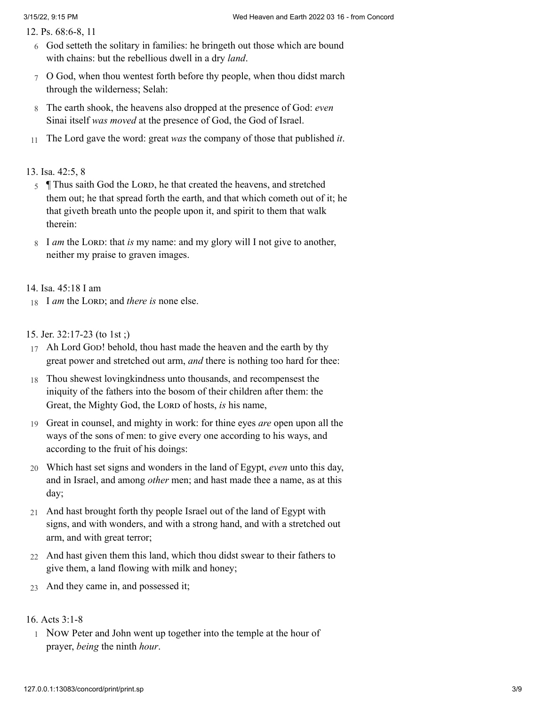12. [Ps. 68:6-8, 11](http://www.concordworks.com/citation/Ps.%2068:6-8,%2011)

- 6 God setteth the solitary in families: he bringeth out those which are bound with chains: but the rebellious dwell in a dry *land*.
- 7 O God, when thou wentest forth before thy people, when thou didst march through the wilderness; Selah:
- 8 The earth shook, the heavens also dropped at the presence of God: *even* Sinai itself *was moved* at the presence of God, the God of Israel.
- 11 The Lord gave the word: great *was* the company of those that published *it*.

#### 13. [Isa. 42:5, 8](http://www.concordworks.com/citation/Isa.%2042:5,%208)

- 5 Thus saith God the LORD, he that created the heavens, and stretched them out; he that spread forth the earth, and that which cometh out of it; he that giveth breath unto the people upon it, and spirit to them that walk therein:
- 8 I *am* the LORD: that *is* my name: and my glory will I not give to another, neither my praise to graven images.

14. [Isa. 45:18 I am](http://www.concordworks.com/citation/Isa.%2045:18%20I%20am)

18 I *am* the LORD; and *there is* none else.

#### 15. [Jer. 32:17-23 \(to 1st ;\)](http://www.concordworks.com/citation/Jer.%2032:17-23%20(to%201st%20;))

- 17 Ah Lord God! behold, thou hast made the heaven and the earth by thy great power and stretched out arm, *and* there is nothing too hard for thee:
- 18 Thou shewest lovingkindness unto thousands, and recompensest the iniquity of the fathers into the bosom of their children after them: the Great, the Mighty God, the Lorp of hosts, *is* his name,
- 19 Great in counsel, and mighty in work: for thine eyes *are* open upon all the ways of the sons of men: to give every one according to his ways, and according to the fruit of his doings:
- 20 Which hast set signs and wonders in the land of Egypt, *even* unto this day, and in Israel, and among *other* men; and hast made thee a name, as at this day;
- 21 And hast brought forth thy people Israel out of the land of Egypt with signs, and with wonders, and with a strong hand, and with a stretched out arm, and with great terror;
- 22 And hast given them this land, which thou didst swear to their fathers to give them, a land flowing with milk and honey;
- 23 And they came in, and possessed it;

### 16. [Acts 3:1-8](http://www.concordworks.com/citation/Acts%203:1-8)

1 Now Peter and John went up together into the temple at the hour of prayer, *being* the ninth *hour*.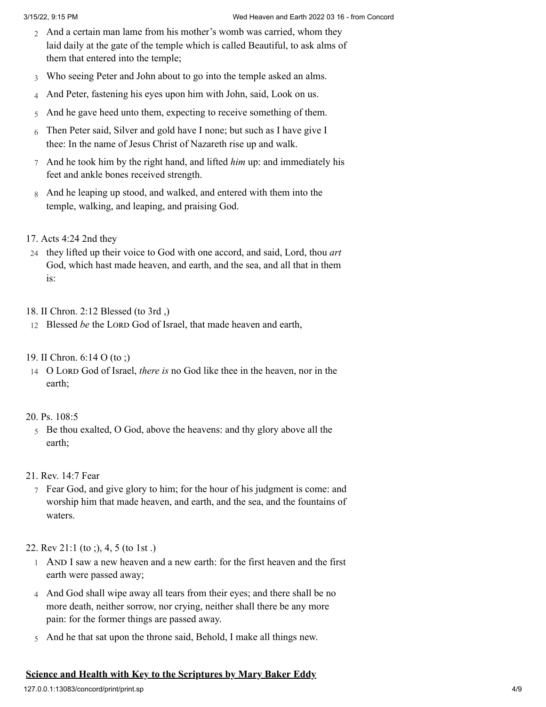- 2 And a certain man lame from his mother's womb was carried, whom they laid daily at the gate of the temple which is called Beautiful, to ask alms of them that entered into the temple;
- 3 Who seeing Peter and John about to go into the temple asked an alms.
- 4 And Peter, fastening his eyes upon him with John, said, Look on us.
- 5 And he gave heed unto them, expecting to receive something of them.
- 6 Then Peter said, Silver and gold have I none; but such as I have give I thee: In the name of Jesus Christ of Nazareth rise up and walk.
- 7 And he took him by the right hand, and lifted *him* up: and immediately his feet and ankle bones received strength.
- 8 And he leaping up stood, and walked, and entered with them into the temple, walking, and leaping, and praising God.
- 17. [Acts 4:24 2nd they](http://www.concordworks.com/citation/Acts%204:24%202nd%20they)
- 24 they lifted up their voice to God with one accord, and said, Lord, thou *art* God, which hast made heaven, and earth, and the sea, and all that in them is:

## 18. [II Chron. 2:12 Blessed \(to 3rd ,\)](http://www.concordworks.com/citation/II%20Chron.%202:12%20Blessed%20(to%203rd%20,))

- 12 Blessed *be* the LORD God of Israel, that made heaven and earth,
- 19. [II Chron. 6:14 O \(to ;\)](http://www.concordworks.com/citation/II%20Chron.%206:14%20O%20(to%20;))
- 14 O Lord God of Israel, *there is* no God like thee in the heaven, nor in the earth;

#### 20. [Ps. 108:5](http://www.concordworks.com/citation/Ps.%20108:5)

- 5 Be thou exalted, O God, above the heavens: and thy glory above all the earth;
- 21. [Rev. 14:7 Fear](http://www.concordworks.com/citation/Rev.%2014:7%20Fear)
	- 7 Fear God, and give glory to him; for the hour of his judgment is come: and worship him that made heaven, and earth, and the sea, and the fountains of waters.

#### 22. [Rev 21:1 \(to ;\), 4, 5 \(to 1st .\)](http://www.concordworks.com/citation/Rev%2021:1%20(to%20;),%204,%205%20(to%201st%20.))

- 1 And I saw a new heaven and a new earth: for the first heaven and the first earth were passed away;
- 4 And God shall wipe away all tears from their eyes; and there shall be no more death, neither sorrow, nor crying, neither shall there be any more pain: for the former things are passed away.
- 5 And he that sat upon the throne said, Behold, I make all things new.

# **Science and Health with Key to the Scriptures by Mary Baker Eddy**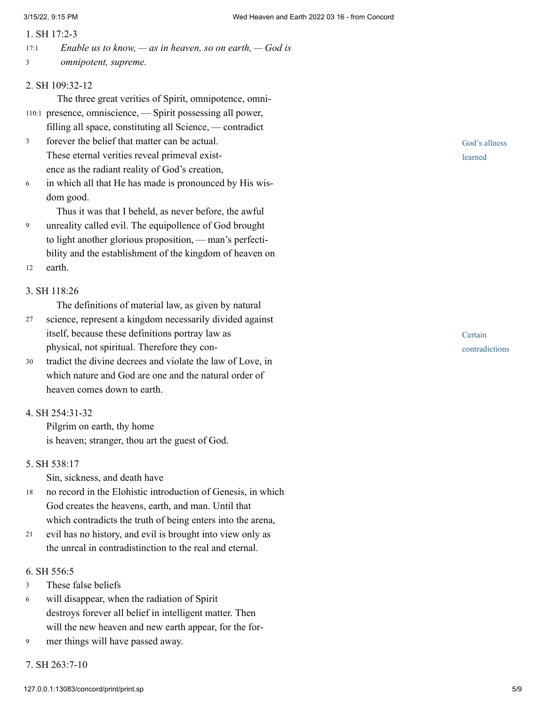#### 1. [SH 17:2-3](http://www.concordworks.com/citation/SH%2017:2-3)

*Enable us to know, — as in heaven, so on earth, — God is omnipotent, supreme.* 17:1 3

#### 2. [SH 109:32-12](http://www.concordworks.com/citation/SH%20109:32-12)

The three great verities of Spirit, omnipotence, omni-110:1 presence, omniscience, - Spirit possessing all power,

- filling all space, constituting all Science, contradict forever the belief that matter can be actual. 3
- These eternal verities reveal primeval existence as the radiant reality of God's creation,
- in which all that He has made is pronounced by His wis‐ dom good. 6

Thus it was that I beheld, as never before, the awful

- unreality called evil. The equipollence of God brought to light another glorious proposition, — man's perfectibility and the establishment of the kingdom of heaven on 9
- earth. 12

### 3. [SH 118:26](http://www.concordworks.com/citation/SH%20118:26)

The definitions of material law, as given by natural

- science, represent a kingdom necessarily divided against itself, because these definitions portray law as physical, not spiritual. Therefore they con‐ 27
- tradict the divine decrees and violate the law of Love, in which nature and God are one and the natural order of heaven comes down to earth. 30

# 4. [SH 254:31-32](http://www.concordworks.com/citation/SH%20254:31-32)

Pilgrim on earth, thy home is heaven; stranger, thou art the guest of God.

#### 5. [SH 538:17](http://www.concordworks.com/citation/SH%20538:17)

Sin, sickness, and death have

- no record in the Elohistic introduction of Genesis, in which God creates the heavens, earth, and man. Until that which contradicts the truth of being enters into the arena, 18
- evil has no history, and evil is brought into view only as the unreal in contradistinction to the real and eternal. 21

#### 6. [SH 556:5](http://www.concordworks.com/citation/SH%20556:5)

- These false beliefs 3
- will disappear, when the radiation of Spirit destroys forever all belief in intelligent matter. Then will the new heaven and new earth appear, for the for-6
- mer things will have passed away. 9
- 7. [SH 263:7-10](http://www.concordworks.com/citation/SH%20263:7-10)

God's allness learned

**Certain** contradictions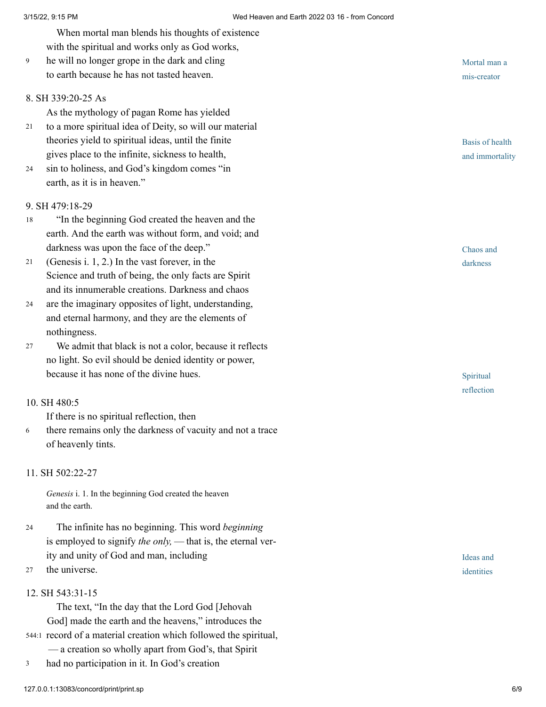When mortal man blends his thoughts of existence with the spiritual and works only as God works,

he will no longer grope in the dark and cling to earth because he has not tasted heaven. 9

### 8. [SH 339:20-25 As](http://www.concordworks.com/citation/SH%20339:20-25%20As)

As the mythology of pagan Rome has yielded

- to a more spiritual idea of Deity, so will our material theories yield to spiritual ideas, until the finite gives place to the infinite, sickness to health, 21
- sin to holiness, and God's kingdom comes "in earth, as it is in heaven." 24

### 9. [SH 479:18-29](http://www.concordworks.com/citation/SH%20479:18-29)

- "In the beginning God created the heaven and the earth. And the earth was without form, and void; and darkness was upon the face of the deep." 18
- (Genesis i. 1, 2.) In the vast forever, in the Science and truth of being, the only facts are Spirit and its innumerable creations. Darkness and chaos 21
- are the imaginary opposites of light, understanding, and eternal harmony, and they are the elements of nothingness. 24
- We admit that black is not a color, because it reflects no light. So evil should be denied identity or power, because it has none of the divine hues. 27

#### 10. [SH 480:5](http://www.concordworks.com/citation/SH%20480:5)

If there is no spiritual reflection, then

there remains only the darkness of vacuity and not a trace of heavenly tints. 6

# 11. [SH 502:22-27](http://www.concordworks.com/citation/SH%20502:22-27)

*Genesis* i. 1. In the beginning God created the heaven and the earth.

The infinite has no beginning. This word *beginning* is employed to signify *the only*, — that is, the eternal verity and unity of God and man, including 24

the universe. 27

#### 12. [SH 543:31-15](http://www.concordworks.com/citation/SH%20543:31-15)

The text, "In the day that the Lord God [Jehovah God] made the earth and the heavens," introduces the 544:1 record of a material creation which followed the spiritual,

- — a creation so wholly apart from God's, that Spirit
- had no participation in it. In God's creation 3

Mortal man a mis-creator

Basis of health and immortality

Chaos and darkness

Spiritual reflection

Ideas and identities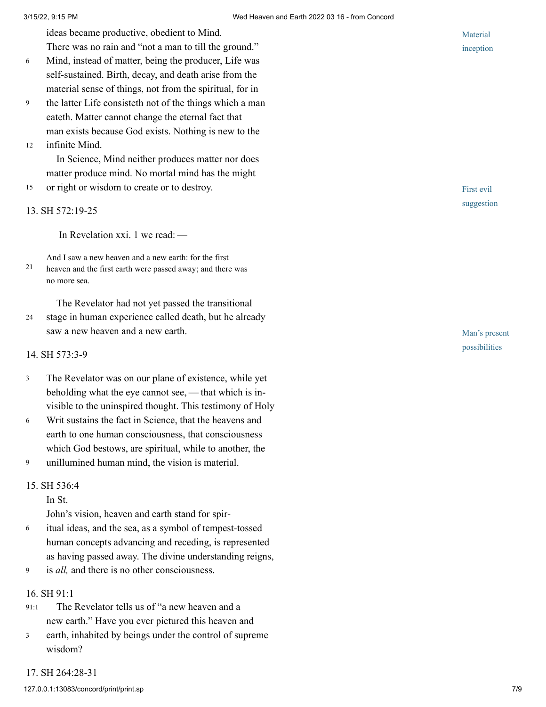ideas became productive, obedient to Mind.

There was no rain and "not a man to till the ground."

- Mind, instead of matter, being the producer, Life was self-sustained. Birth, decay, and death arise from the material sense of things, not from the spiritual, for in 6
- the latter Life consisteth not of the things which a man eateth. Matter cannot change the eternal fact that man exists because God exists. Nothing is new to the 9
- infinite Mind. 12

In Science, Mind neither produces matter nor does matter produce mind. No mortal mind has the might

or right or wisdom to create or to destroy. 15

#### 13. [SH 572:19-25](http://www.concordworks.com/citation/SH%20572:19-25)

In Revelation xxi. 1 we read: — 

And I saw a new heaven and a new earth: for the first heaven and the first earth were passed away; and there was no more sea. 21

The Revelator had not yet passed the transitional stage in human experience called death, but he already saw a new heaven and a new earth. 24

#### 14. [SH 573:3-9](http://www.concordworks.com/citation/SH%20573:3-9)

- The Revelator was on our plane of existence, while yet beholding what the eye cannot see, — that which is invisible to the uninspired thought. This testimony of Holy 3
- Writ sustains the fact in Science, that the heavens and earth to one human consciousness, that consciousness which God bestows, are spiritual, while to another, the 6
- unillumined human mind, the vision is material. 9

#### 15. [SH 536:4](http://www.concordworks.com/citation/SH%20536:4)

In St.

John's vision, heaven and earth stand for spir‐

- itual ideas, and the sea, as a symbol of tempest-tossed human concepts advancing and receding, is represented as having passed away. The divine understanding reigns, 6
- is *all,* and there is no other consciousness. 9

#### 16. [SH 91:1](http://www.concordworks.com/citation/SH%2091:1)

- The Revelator tells us of "a new heaven and a new earth." Have you ever pictured this heaven and 91:1
- earth, inhabited by beings under the control of supreme wisdom? 3



First evil suggestion

Man's present possibilities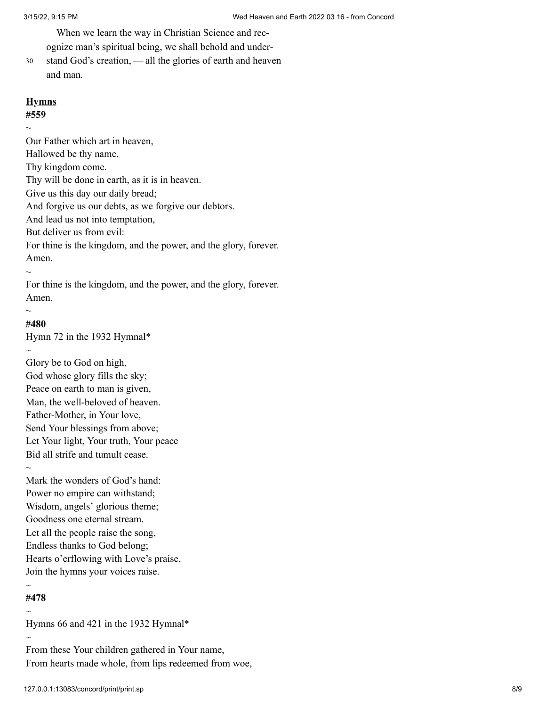When we learn the way in Christian Science and recognize man's spiritual being, we shall behold and under‐

stand God's creation, — all the glories of earth and heaven and man. 30

# **Hymns**

**#559**  $\sim$ 

Our Father which art in heaven, Hallowed be thy name. Thy kingdom come. Thy will be done in earth, as it is in heaven. Give us this day our daily bread; And forgive us our debts, as we forgive our debtors. And lead us not into temptation, But deliver us from evil: For thine is the kingdom, and the power, and the glory, forever. Amen.

For thine is the kingdom, and the power, and the glory, forever. Amen.

# **#480**

 $\sim$ 

 $\sim$ 

 $\sim$ 

Hymn 72 in the 1932 Hymnal\*

Glory be to God on high, God whose glory fills the sky; Peace on earth to man is given, Man, the well-beloved of heaven. Father-Mother, in Your love, Send Your blessings from above; Let Your light, Your truth, Your peace Bid all strife and tumult cease.  $\sim$ 

Mark the wonders of God's hand: Power no empire can withstand; Wisdom, angels' glorious theme; Goodness one eternal stream. Let all the people raise the song, Endless thanks to God belong; Hearts o'erflowing with Love's praise, Join the hymns your voices raise.

#### $\sim$ **#478**

 $\sim$ 

 $\sim$ 

Hymns 66 and 421 in the 1932 Hymnal\*

From these Your children gathered in Your name, From hearts made whole, from lips redeemed from woe,